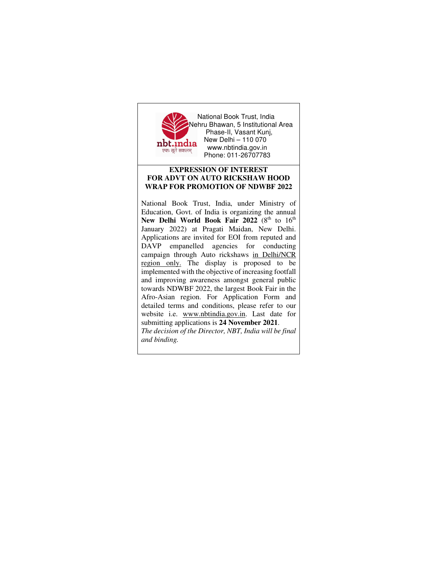

 National Book Trust, India Nehru Bhawan, 5 Institutional Area Phase-II, Vasant Kunj, nbt.india New Delhi – 110 070 t**DC:IIICHC WWW.nbtindia.gov.in** Phone: 011-26707783

## **EXPRESSION OF INTEREST FOR ADVT ON AUTO RICKSHAW HOOD WRAP FOR PROMOTION OF NDWBF 2022**

National Book Trust, India, under Ministry of Education, Govt. of India is organizing the annual New Delhi World Book Fair 2022 (8<sup>th</sup> to 16<sup>th</sup> January 2022) at Pragati Maidan, New Delhi. Applications are invited for EOI from reputed and DAVP empanelled agencies for conducting campaign through Auto rickshaws in Delhi/NCR region only. The display is proposed to be implemented with the objective of increasing footfall and improving awareness amongst general public towards NDWBF 2022, the largest Book Fair in the Afro-Asian region. For Application Form and detailed terms and conditions, please refer to our website i.e. www.nbtindia.gov.in. Last date for submitting applications is **24 November 2021**. *The decision of the Director, NBT, India will be final* 

*and binding.*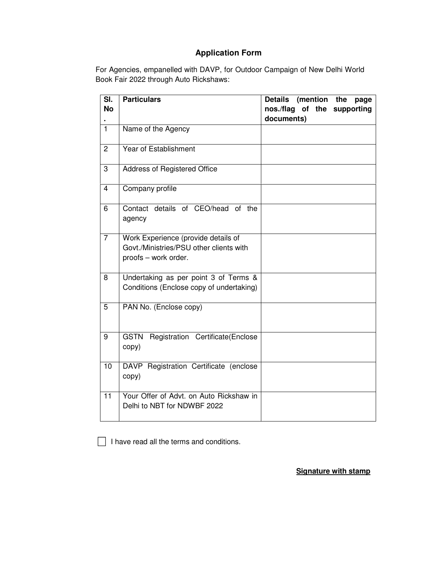## **Application Form**

For Agencies, empanelled with DAVP, for Outdoor Campaign of New Delhi World Book Fair 2022 through Auto Rickshaws:

| SI.<br><b>No</b> | <b>Particulars</b>                                                                                     | <b>Details</b><br>(mention<br>the<br>page<br>nos./flag of the supporting |
|------------------|--------------------------------------------------------------------------------------------------------|--------------------------------------------------------------------------|
|                  |                                                                                                        | documents)                                                               |
| $\mathbf{1}$     | Name of the Agency                                                                                     |                                                                          |
| $\overline{2}$   | Year of Establishment                                                                                  |                                                                          |
| 3                | Address of Registered Office                                                                           |                                                                          |
| 4                | Company profile                                                                                        |                                                                          |
| 6                | Contact details of CEO/head of the<br>agency                                                           |                                                                          |
| $\overline{7}$   | Work Experience (provide details of<br>Govt./Ministries/PSU other clients with<br>proofs - work order. |                                                                          |
| 8                | Undertaking as per point 3 of Terms &<br>Conditions (Enclose copy of undertaking)                      |                                                                          |
| $\overline{5}$   | PAN No. (Enclose copy)                                                                                 |                                                                          |
| 9                | <b>GSTN</b><br>Registration Certificate(Enclose<br>copy)                                               |                                                                          |
| 10               | DAVP Registration Certificate (enclose<br>copy)                                                        |                                                                          |
| 11               | Your Offer of Advt. on Auto Rickshaw in<br>Delhi to NBT for NDWBF 2022                                 |                                                                          |

 $\Box$  I have read all the terms and conditions.

**Signature with stamp**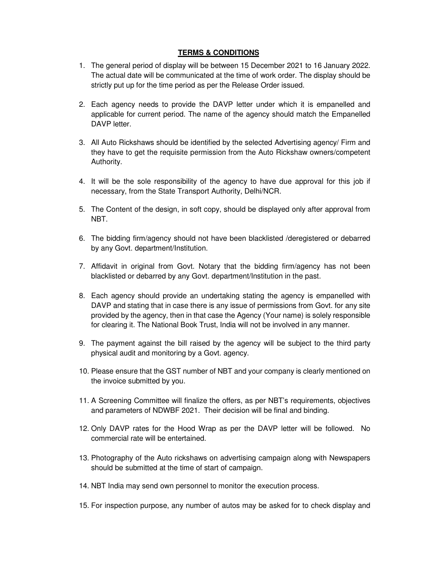## **TERMS & CONDITIONS**

- 1. The general period of display will be between 15 December 2021 to 16 January 2022. The actual date will be communicated at the time of work order. The display should be strictly put up for the time period as per the Release Order issued.
- 2. Each agency needs to provide the DAVP letter under which it is empanelled and applicable for current period. The name of the agency should match the Empanelled DAVP letter.
- 3. All Auto Rickshaws should be identified by the selected Advertising agency/ Firm and they have to get the requisite permission from the Auto Rickshaw owners/competent Authority.
- 4. It will be the sole responsibility of the agency to have due approval for this job if necessary, from the State Transport Authority, Delhi/NCR.
- 5. The Content of the design, in soft copy, should be displayed only after approval from NBT.
- 6. The bidding firm/agency should not have been blacklisted /deregistered or debarred by any Govt. department/Institution.
- 7. Affidavit in original from Govt. Notary that the bidding firm/agency has not been blacklisted or debarred by any Govt. department/Institution in the past.
- 8. Each agency should provide an undertaking stating the agency is empanelled with DAVP and stating that in case there is any issue of permissions from Govt. for any site provided by the agency, then in that case the Agency (Your name) is solely responsible for clearing it. The National Book Trust, India will not be involved in any manner.
- 9. The payment against the bill raised by the agency will be subject to the third party physical audit and monitoring by a Govt. agency.
- 10. Please ensure that the GST number of NBT and your company is clearly mentioned on the invoice submitted by you.
- 11. A Screening Committee will finalize the offers, as per NBT's requirements, objectives and parameters of NDWBF 2021. Their decision will be final and binding.
- 12. Only DAVP rates for the Hood Wrap as per the DAVP letter will be followed. No commercial rate will be entertained.
- 13. Photography of the Auto rickshaws on advertising campaign along with Newspapers should be submitted at the time of start of campaign.
- 14. NBT India may send own personnel to monitor the execution process.
- 15. For inspection purpose, any number of autos may be asked for to check display and